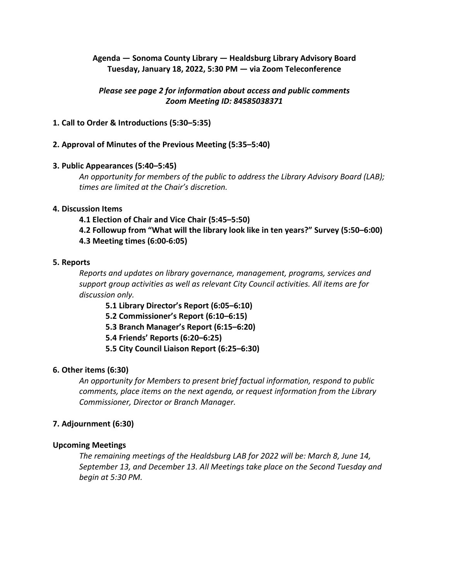# **Agenda — Sonoma County Library — Healdsburg Library Advisory Board Tuesday, January 18, 2022, 5:30 PM — via Zoom Teleconference**

# *Please see page 2 for information about access and public comments Zoom Meeting ID: 84585038371*

# **1. Call to Order & Introductions (5:30–5:35)**

## **2. Approval of Minutes of the Previous Meeting (5:35–5:40)**

## **3. Public Appearances (5:40–5:45)**

*An opportunity for members of the public to address the Library Advisory Board (LAB); times are limited at the Chair's discretion.*

#### **4. Discussion Items**

- **4.1 Election of Chair and Vice Chair (5:45–5:50)**
- **4.2 Followup from "What will the library look like in ten years?" Survey (5:50–6:00) 4.3 Meeting times (6:00-6:05)**

#### **5. Reports**

*Reports and updates on library governance, management, programs, services and support group activities as well as relevant City Council activities. All items are for discussion only.*

- **5.1 Library Director's Report (6:05–6:10)**
- **5.2 Commissioner's Report (6:10–6:15)**
- **5.3 Branch Manager's Report (6:15–6:20)**
- **5.4 Friends' Reports (6:20–6:25)**
- **5.5 City Council Liaison Report (6:25–6:30)**

## **6. Other items (6:30)**

*An opportunity for Members to present brief factual information, respond to public comments, place items on the next agenda, or request information from the Library Commissioner, Director or Branch Manager.*

## **7. Adjournment (6:30)**

## **Upcoming Meetings**

*The remaining meetings of the Healdsburg LAB for 2022 will be: March 8, June 14, September 13, and December 13. All Meetings take place on the Second Tuesday and begin at 5:30 PM.*